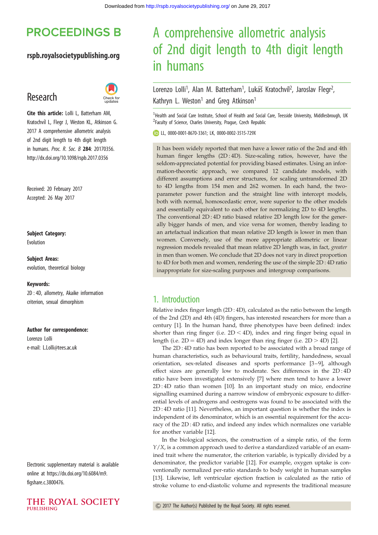## **PROCEEDINGS B**

### rspb.royalsocietypublishing.org

## Research



Cite this article: Lolli L, Batterham AM, Kratochvíl L, Flegr J, Weston KL, Atkinson G. 2017 A comprehensive allometric analysis of 2nd digit length to 4th digit length in humans. Proc. R. Soc. B 284: 20170356. http://dx.doi.org/10.1098/rspb.2017.0356

Received: 20 February 2017 Accepted: 26 May 2017

#### Subject Category:

Evolution

Subject Areas: evolution, theoretical biology

#### Keywords:

2D : 4D, allometry, Akaike information criterion, sexual dimorphism

#### Author for correspondence:

Lorenzo Lolli e-mail: [L.Lolli@tees.ac.uk](mailto:L.Lolli@tees.ac.uk)

Electronic supplementary material is available online at [https://dx.doi.org/10.6084/m9.](https://dx.doi.org/10.6084/m9.figshare.c.3800476) [figshare.c.3800476](https://dx.doi.org/10.6084/m9.figshare.c.3800476).



# A comprehensive allometric analysis of 2nd digit length to 4th digit length in humans

#### Lorenzo Lolli<sup>1</sup>, Alan M. Batterham<sup>1</sup>, Lukáš Kratochvíl<sup>2</sup>, Jaroslav Flegr<sup>2</sup> .<br>ו Kathryn L. Weston<sup>1</sup> and Greg Atkinson<sup>1</sup>

<sup>1</sup> Health and Social Care Institute, School of Health and Social Care, Teesside University, Middlesbrough, UK <sup>2</sup>Faculty of Science, Charles University, Prague, Czech Republic

LL, [0000-0001-8670-3361;](http://orcid.org/0000-0001-8670-3361) LK, [0000-0002-3515-729X](http://orcid.org/0000-0002-3515-729X)

It has been widely reported that men have a lower ratio of the 2nd and 4th human finger lengths (2D:4D). Size-scaling ratios, however, have the seldom-appreciated potential for providing biased estimates. Using an information-theoretic approach, we compared 12 candidate models, with different assumptions and error structures, for scaling untransformed 2D to 4D lengths from 154 men and 262 women. In each hand, the twoparameter power function and the straight line with intercept models, both with normal, homoscedastic error, were superior to the other models and essentially equivalent to each other for normalizing 2D to 4D lengths. The conventional 2D : 4D ratio biased relative 2D length low for the generally bigger hands of men, and vice versa for women, thereby leading to an artefactual indication that mean relative 2D length is lower in men than women. Conversely, use of the more appropriate allometric or linear regression models revealed that mean relative 2D length was, in fact, greater in men than women. We conclude that 2D does not vary in direct proportion to 4D for both men and women, rendering the use of the simple 2D : 4D ratio inappropriate for size-scaling purposes and intergroup comparisons.

## 1. Introduction

Relative index finger length (2D : 4D), calculated as the ratio between the length of the 2nd (2D) and 4th (4D) fingers, has interested researchers for more than a century [[1](#page-5-0)]. In the human hand, three phenotypes have been defined: index shorter than ring finger (i.e.  $2D < 4D$ ), index and ring finger being equal in length (i.e.  $2D = 4D$ ) and index longer than ring finger (i.e.  $2D > 4D$ ) [\[2\]](#page-5-0).

The 2D : 4D ratio has been reported to be associated with a broad range of human characteristics, such as behavioural traits, fertility, handedness, sexual orientation, sex-related diseases and sports performance [[3](#page-5-0)-[9\]](#page-6-0), although effect sizes are generally low to moderate. Sex differences in the 2D : 4D ratio have been investigated extensively [\[7](#page-5-0)] where men tend to have a lower 2D : 4D ratio than women [[10\]](#page-6-0). In an important study on mice, endocrine signalling examined during a narrow window of embryonic exposure to differential levels of androgens and oestrogens was found to be associated with the 2D : 4D ratio [[11\]](#page-6-0). Nevertheless, an important question is whether the index is independent of its denominator, which is an essential requirement for the accuracy of the 2D : 4D ratio, and indeed any index which normalizes one variable for another variable [[12\]](#page-6-0).

In the biological sciences, the construction of a simple ratio, of the form  $Y/X$ , is a common approach used to derive a standardized variable of an examined trait where the numerator, the criterion variable, is typically divided by a denominator, the predictor variable [[12\]](#page-6-0). For example, oxygen uptake is conventionally normalized per-ratio standards to body weight in human samples [[13\]](#page-6-0). Likewise, left ventricular ejection fraction is calculated as the ratio of stroke volume to end-diastolic volume and represents the traditional measure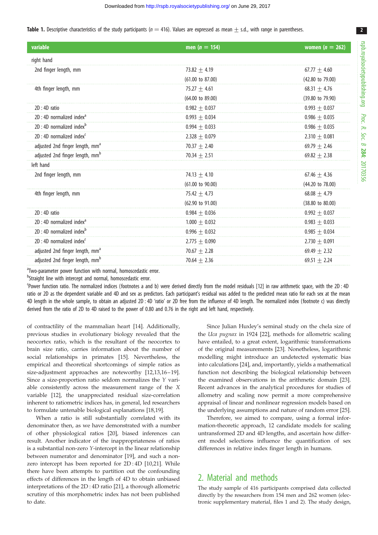<span id="page-1-0"></span>

| <b>Table 1.</b> Descriptive characteristics of the study participants ( $n = 416$ ). Values are expressed as mean $\pm$ s.d., with range in parentheses |  |  |  |
|---------------------------------------------------------------------------------------------------------------------------------------------------------|--|--|--|
|---------------------------------------------------------------------------------------------------------------------------------------------------------|--|--|--|

| variable                                    | men ( $n = 154$ )           | women $(n = 262)$           |
|---------------------------------------------|-----------------------------|-----------------------------|
| right hand                                  |                             |                             |
| 2nd finger length, mm                       | $73.82 + 4.19$              | $67.77 + 4.60$              |
|                                             | $(61.00 \text{ to } 87.00)$ | (42.80 to 79.00)            |
| 4th finger length, mm                       | 75.27 $\pm$ 4.61            | $68.31 + 4.76$              |
|                                             | (64.00 to 89.00)            | (39.80 to 79.90)            |
| $2D:4D$ ratio                               | $0.982 + 0.037$             | $0.993 + 0.037$             |
| $2D:4D$ normalized index <sup>a</sup>       | $0.993 + 0.034$             | $0.986 + 0.035$             |
| 2D: 4D normalized index <sup>b</sup>        | $0.994 \pm 0.033$           | $0.986 + 0.035$             |
| $2D:4D$ normalized index <sup>c</sup>       | $2.328 + 0.079$             | 2.310 $\pm$ 0.081           |
| adjusted 2nd finger length, mm <sup>a</sup> | 70.37 $\pm$ 2.40            | $69.79 + 2.46$              |
| adjusted 2nd finger length, mm <sup>b</sup> | 70.34 $\pm$ 2.51            | $69.82 + 2.38$              |
| left hand                                   |                             |                             |
| 2nd finger length, mm                       | $74.13 + 4.10$              | $67.46 + 4.36$              |
|                                             | $(61.00 \text{ to } 90.00)$ | (44.20 to 78.00)            |
| 4th finger length, mm                       | 75.42 $\pm$ 4.73            | $68.08 + 4.79$              |
|                                             | $(62.90 \text{ to } 91.00)$ | $(38.80 \text{ to } 80.00)$ |
| $2D:4D$ ratio                               | $0.984 + 0.036$             | $0.992 + 0.037$             |
| $2D:4D$ normalized index <sup>a</sup>       | $1.000 + 0.032$             | $0.983 + 0.033$             |
| $2D:4D$ normalized index <sup>b</sup>       | $0.996 + 0.032$             | $0.985 + 0.034$             |
| $2D:4D$ normalized index <sup>c</sup>       | $2.775 + 0.090$             | 2.730 $\pm$ 0.091           |
| adjusted 2nd finger length, mm <sup>a</sup> | 70.67 $\pm$ 2.28            | $69.49 + 2.32$              |
| adjusted 2nd finger length, mm <sup>b</sup> | $70.64 + 2.36$              | $69.51 + 2.24$              |

<sup>a</sup>Two-parameter power function with normal, homoscedastic error.

<sup>b</sup>Straight line with intercept and normal, homoscedastic error.

Power function ratio. The normalized indices (footnotes a and b) were derived directly from the model residuals [[12](#page-6-0)] in raw arithmetic space, with the 2D : 4D ratio or 2D as the dependent variable and 4D and sex as predictors. Each participant's residual was added to the predicted mean ratio for each sex at the mean 4D length in the whole sample, to obtain an adjusted 2D : 4D 'ratio' or 2D free from the influence of 4D length. The normalized index (footnote c) was directly derived from the ratio of 2D to 4D raised to the power of 0.80 and 0.76 in the right and left hand, respectively.

of contractility of the mammalian heart [[14\]](#page-6-0). Additionally, previous studies in evolutionary biology revealed that the neocortex ratio, which is the resultant of the neocortex to brain size ratio, carries information about the number of social relationships in primates [\[15](#page-6-0)]. Nevertheless, the empirical and theoretical shortcomings of simple ratios as size-adjustment approaches are noteworthy [[12,13,16](#page-6-0)–[19](#page-6-0)]. Since a size-proportion ratio seldom normalizes the Y variable consistently across the measurement range of the X variable [[12\]](#page-6-0), the unappreciated residual size-correlation inherent to ratiometric indices has, in general, led researchers to formulate untenable biological explanations [\[18](#page-6-0),[19\]](#page-6-0).

When a ratio is still substantially correlated with its denominator then, as we have demonstrated with a number of other physiological ratios [\[20](#page-6-0)], biased inferences can result. Another indicator of the inappropriateness of ratios is a substantial non-zero Y-intercept in the linear relationship between numerator and denominator [[19](#page-6-0)], and such a nonzero intercept has been reported for 2D : 4D [[10,21\]](#page-6-0). While there have been attempts to partition out the confounding effects of differences in the length of 4D to obtain unbiased interpretations of the 2D : 4D ratio [[21\]](#page-6-0), a thorough allometric scrutiny of this morphometric index has not been published to date.

Since Julian Huxley's seminal study on the chela size of the Uca pugnax in 1924 [\[22](#page-6-0)], methods for allometric scaling have entailed, to a great extent, logarithmic transformations of the original measurements [\[23](#page-6-0)]. Nonetheless, logarithmic modelling might introduce an undetected systematic bias into calculations [[24\]](#page-6-0), and, importantly, yields a mathematical function not describing the biological relationship between the examined observations in the arithmetic domain [[23\]](#page-6-0). Recent advances in the analytical procedures for studies of allometry and scaling now permit a more comprehensive appraisal of linear and nonlinear regression models based on the underlying assumptions and nature of random error [[25\]](#page-6-0).

Therefore, we aimed to compare, using a formal information-theoretic approach, 12 candidate models for scaling untransformed 2D and 4D lengths, and ascertain how different model selections influence the quantification of sex differences in relative index finger length in humans.

## 2. Material and methods

The study sample of 416 participants comprised data collected directly by the researchers from 154 men and 262 women (electronic supplementary material, files 1 and 2). The study design, 2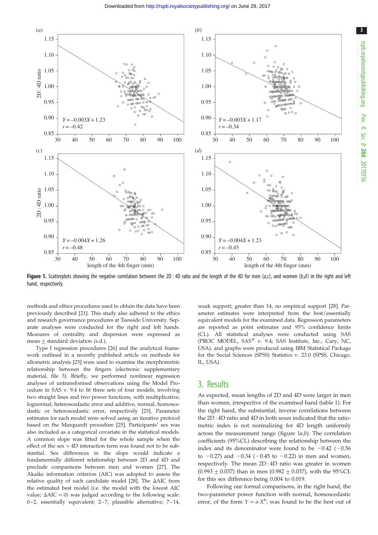<span id="page-2-0"></span>

Figure 1. Scatterplots showing the negative correlation between the 2D : 4D ratio and the length of the 4D for men  $(a, c)$ , and women  $(b, d)$  in the right and left hand, respectively.

methods and ethics procedures used to obtain the data have been previously described [[21](#page-6-0)]. This study also adhered to the ethics and research governance procedures at Teesside University. Separate analyses were conducted for the right and left hands. Measures of centrality and dispersion were expressed as mean  $\pm$  standard deviation (s.d.).

Type I regression procedures [\[26\]](#page-6-0) and the analytical framework outlined in a recently published article on methods for allometric analysis [\[25\]](#page-6-0) were used to examine the morphometric relationship between the fingers (electronic supplementary material, file 3). Briefly, we performed nonlinear regression analyses of untransformed observations using the Model Procedure in SAS v. 9.4 to fit three sets of four models, involving two straight lines and two power functions, with multiplicative, lognormal, heteroscedastic error and additive, normal, homoscedastic or heteroscedastic error, respectively [\[25\]](#page-6-0). Parameter estimates for each model were solved using an iterative protocol based on the Marquardt procedure [[25](#page-6-0)]. Participants' sex was also included as a categorical covariate in the statistical models. A common slope was fitted for the whole sample when the effect of the sex  $\times$  4D interaction term was found not to be substantial. Sex differences in the slope would indicate a fundamentally different relationship between 2D and 4D and preclude comparisons between men and women [\[27\]](#page-6-0). The Akaike information criterion (AIC) was adopted to assess the relative quality of each candidate model [[28](#page-6-0)]. The  $\triangle$ AIC from the estimated best model (i.e. the model with the lowest AIC value;  $\Delta AIC = 0$ ) was judged according to the following scale: 0-2, essentially equivalent; 2-7, plausible alternative; 7-14, weak support; greater than 14, no empirical support [[28](#page-6-0)]. Parameter estimates were interpreted from the best/essentially equivalent models for the examined data. Regression parameters are reported as point estimates and 95% confidence limits (CL). All statistical analyses were conducted using SAS (PROC MODEL, SAS® v. 9.4; SAS Institute, Inc., Cary, NC, USA), and graphs were produced using IBM Statistical Package for the Social Sciences (SPSS) Statistics v. 23.0 (SPSS, Chicago, IL, USA).

#### 3. Results

As expected, mean lengths of 2D and 4D were larger in men than women, irrespective of the examined hand ([table 1\)](#page-1-0). For the right hand, the substantial, inverse correlations between the 2D : 4D ratio and 4D in both sexes indicated that the ratiometric index is not normalizing for 4D length uniformly across the measurement range (figure  $1a,b$ ). The correlation coefficients (95%CL) describing the relationship between the index and its denominator were found to be  $-0.42$  ( $-0.56$ ) to  $-0.27$ ) and  $-0.34$  ( $-0.45$  to  $-0.22$ ) in men and women, respectively. The mean 2D : 4D ratio was greater in women  $(0.993 \pm 0.037)$  than in men  $(0.982 \pm 0.037)$ , with the 95%CL for this sex difference being 0.004 to 0.019.

Following our formal comparisons, in the right hand, the two-parameter power function with normal, homoscedastic error, of the form  $Y = a \cdot X^b$ , was found to be the best out of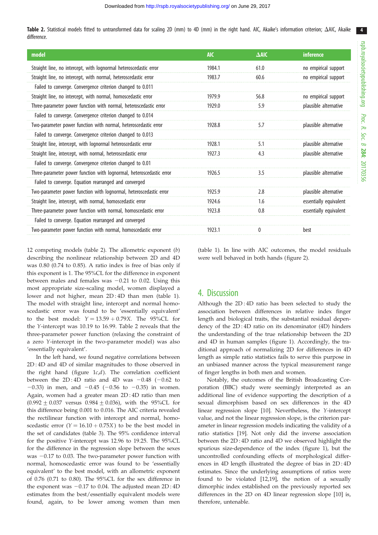4

Table 2. Statistical models fitted to untransformed data for scaling 2D (mm) to 4D (mm) in the right hand. AIC, Akaike's information criterion;  $\Delta$ AIC, Akaike difference.

| model                                                                | <b>AIC</b> | $\triangle$ AIC | inference              |
|----------------------------------------------------------------------|------------|-----------------|------------------------|
| Straight line, no intercept, with lognormal heteroscedastic error    | 1984.1     | 61.0            | no empirical support   |
| Straight line, no intercept, with normal, heteroscedastic error      | 1983.7     | 60.6            | no empirical support   |
| Failed to converge. Convergence criterion changed to 0.011           |            |                 |                        |
| Straight line, no intercept, with normal, homoscedastic error        | 1979.9     | 56.8            | no empirical support   |
| Three-parameter power function with normal, heteroscedastic error    | 1929.0     | 5.9             | plausible alternative  |
| Failed to converge. Convergence criterion changed to 0.014           |            |                 |                        |
| Two-parameter power function with normal, heteroscedastic error      | 1928.8     | 5.7             | plausible alternative  |
| Failed to converge. Convergence criterion changed to 0.013           |            |                 |                        |
| Straight line, intercept, with lognormal heteroscedastic error       | 1928.1     | 5.1             | plausible alternative  |
| Straight line, intercept, with normal, heteroscedastic error         | 1927.3     | 4.3             | plausible alternative  |
| Failed to converge. Convergence criterion changed to 0.01            |            |                 |                        |
| Three-parameter power function with lognormal, heteroscedastic error | 1926.5     | 3.5             | plausible alternative  |
| Failed to converge. Equation rearranged and converged                |            |                 |                        |
| Two-parameter power function with lognormal, heteroscedastic error   | 1925.9     | 2.8             | plausible alternative  |
| Straight line, intercept, with normal, homoscedastic error           | 1924.6     | 1.6             | essentially equivalent |
| Three-parameter power function with normal, homoscedastic error      | 1923.8     | 0.8             | essentially equivalent |
| Failed to converge. Equation rearranged and converged                |            |                 |                        |
| Two-parameter power function with normal, homoscedastic error        | 1923.1     | 0               | best                   |

12 competing models (table 2). The allometric exponent (b) describing the nonlinear relationship between 2D and 4D was 0.80 (0.74 to 0.85). A ratio index is free of bias only if this exponent is 1. The 95%CL for the difference in exponent between males and females was  $-0.21$  to 0.02. Using this most appropriate size-scaling model, women displayed a lower and not higher, mean 2D : 4D than men [\(table 1](#page-1-0)). The model with straight line, intercept and normal homoscedastic error was found to be 'essentially equivalent' to the best model:  $Y = 13.59 + 0.79X$ . The 95%CL for the Y-intercept was 10.19 to 16.99. Table 2 reveals that the three-parameter power function (relaxing the constraint of a zero Y-intercept in the two-parameter model) was also 'essentially equivalent'.

In the left hand, we found negative correlations between 2D : 4D and 4D of similar magnitudes to those observed in the right hand (figure  $1c,d$ ). The correlation coefficient between the  $2D:4D$  ratio and  $4D$  was  $-0.48$  ( $-0.62$  to  $-0.33$ ) in men, and  $-0.45$  ( $-0.56$  to  $-0.35$ ) in women. Again, women had a greater mean 2D : 4D ratio than men  $(0.992 \pm 0.037$  versus  $0.984 \pm 0.036$ ), with the 95%CL for this difference being 0.001 to 0.016. The AIC criteria revealed the rectilinear function with intercept and normal, homoscedastic error  $(Y = 16.10 + 0.75X)$  to be the best model in the set of candidates ([table 3](#page-4-0)). The 95% confidence interval for the positive Y-intercept was 12.96 to 19.25. The 95%CL for the difference in the regression slope between the sexes was  $-0.17$  to 0.03. The two-parameter power function with normal, homoscedastic error was found to be 'essentially equivalent' to the best model, with an allometric exponent of 0.76 (0.71 to 0.80). The 95%CL for the sex difference in the exponent was  $-0.17$  to 0.04. The adjusted mean  $2D : 4D$ estimates from the best/essentially equivalent models were found, again, to be lower among women than men

([table 1\)](#page-1-0). In line with AIC outcomes, the model residuals were well behaved in both hands ([figure 2](#page-5-0)).

## 4. Discussion

Although the 2D : 4D ratio has been selected to study the association between differences in relative index finger length and biological traits, the substantial residual dependency of the 2D : 4D ratio on its denominator (4D) hinders the understanding of the true relationship between the 2D and 4D in human samples ([figure 1\)](#page-2-0). Accordingly, the traditional approach of normalizing 2D for differences in 4D length as simple ratio statistics fails to serve this purpose in an unbiased manner across the typical measurement range of finger lengths in both men and women.

Notably, the outcomes of the British Broadcasting Corporation (BBC) study were seemingly interpreted as an additional line of evidence supporting the description of a sexual dimorphism based on sex differences in the 4D linear regression slope [[10\]](#page-6-0). Nevertheless, the Y-intercept value, and not the linear regression slope, is the criterion parameter in linear regression models indicating the validity of a ratio statistics [\[19](#page-6-0)]. Not only did the inverse association between the 2D : 4D ratio and 4D we observed highlight the spurious size-dependence of the index ([figure 1\)](#page-2-0), but the uncontrolled confounding effects of morphological differences in 4D length illustrated the degree of bias in 2D : 4D estimates. Since the underlying assumptions of ratios were found to be violated [[12,19](#page-6-0)], the notion of a sexually dimorphic index established on the previously reported sex differences in the 2D on 4D linear regression slope [\[10](#page-6-0)] is, therefore, untenable.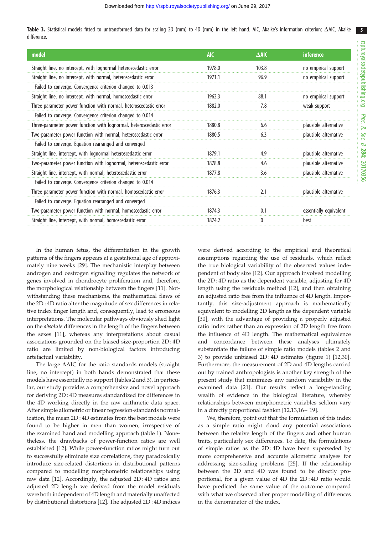5

<span id="page-4-0"></span>Table 3. Statistical models fitted to untransformed data for scaling 2D (mm) to 4D (mm) in the left hand. AIC, Akaike's information criterion;  $\Delta$ AIC, Akaike difference.

| model                                                                | <b>AIC</b> | $\triangle$ AIC | <b>inference</b>       |
|----------------------------------------------------------------------|------------|-----------------|------------------------|
| Straight line, no intercept, with lognormal heteroscedastic error    | 1978.0     | 103.8           | no empirical support   |
| Straight line, no intercept, with normal, heteroscedastic error      | 1971.1     | 96.9            | no empirical support   |
| Failed to converge. Convergence criterion changed to 0.013           |            |                 |                        |
| Straight line, no intercept, with normal, homoscedastic error        | 1962.3     | 88.1            | no empirical support   |
| Three-parameter power function with normal, heteroscedastic error    | 1882.0     | 7.8             | weak support           |
| Failed to converge. Convergence criterion changed to 0.014           |            |                 |                        |
| Three-parameter power function with lognormal, heteroscedastic error | 1880.8     | 6.6             | plausible alternative  |
| Two-parameter power function with normal, heteroscedastic error      | 1880.5     | 6.3             | plausible alternative  |
| Failed to converge. Equation rearranged and converged                |            |                 |                        |
| Straight line, intercept, with lognormal heteroscedastic error       | 1879.1     | 4.9             | plausible alternative  |
| Two-parameter power function with lognormal, heteroscedastic error   | 1878.8     | 4.6             | plausible alternative  |
| Straight line, intercept, with normal, heteroscedastic error         | 1877.8     | 3.6             | plausible alternative  |
| Failed to converge. Convergence criterion changed to 0.014           |            |                 |                        |
| Three-parameter power function with normal, homoscedastic error      | 1876.3     | 2.1             | plausible alternative  |
| Failed to converge. Equation rearranged and converged                |            |                 |                        |
| Two-parameter power function with normal, homoscedastic error        | 1874.3     | 0.1             | essentially equivalent |
| Straight line, intercept, with normal, homoscedastic error           | 1874.2     | 0               | best                   |

In the human fetus, the differentiation in the growth patterns of the fingers appears at a gestational age of approximately nine weeks [[29\]](#page-6-0). The mechanistic interplay between androgen and oestrogen signalling regulates the network of genes involved in chondrocyte proliferation and, therefore, the morphological relationship between the fingers [[11\]](#page-6-0). Notwithstanding these mechanisms, the mathematical flaws of the 2D : 4D ratio alter the magnitude of sex differences in relative index finger length and, consequently, lead to erroneous interpretations. The molecular pathways obviously shed light on the absolute differences in the length of the fingers between the sexes [\[11](#page-6-0)], whereas any interpretations about casual associations grounded on the biased size-proportion 2D : 4D ratio are limited by non-biological factors introducing artefactual variability.

The large  $\Delta AIC$  for the ratio standards models (straight line, no intercept) in both hands demonstrated that these models have essentially no support (tables 2 and 3). In particular, our study provides a comprehensive and novel approach for deriving 2D : 4D measures standardized for differences in the 4D working directly in the raw arithmetic data space. After simple allometric or linear regression-standards normalization, the mean 2D : 4D estimates from the best models were found to be higher in men than women, irrespective of the examined hand and modelling approach ([table 1](#page-1-0)). Nonetheless, the drawbacks of power-function ratios are well established [\[12](#page-6-0)]. While power-function ratios might turn out to successfully eliminate size correlations, they paradoxically introduce size-related distortions in distributional patterns compared to modelling morphometric relationships using raw data [\[12](#page-6-0)]. Accordingly, the adjusted 2D : 4D ratios and adjusted 2D length we derived from the model residuals were both independent of 4D length and materially unaffected by distributional distortions [[12\]](#page-6-0). The adjusted 2D : 4D indices were derived according to the empirical and theoretical assumptions regarding the use of residuals, which reflect the true biological variability of the observed values independent of body size [[12\]](#page-6-0). Our approach involved modelling the 2D : 4D ratio as the dependent variable, adjusting for 4D length using the residuals method [[12\]](#page-6-0), and then obtaining an adjusted ratio free from the influence of 4D length. Importantly, this size-adjustment approach is mathematically equivalent to modelling 2D length as the dependent variable [[30\]](#page-6-0), with the advantage of providing a properly adjusted ratio index rather than an expression of 2D length free from the influence of 4D length. The mathematical equivalence and concordance between these analyses ultimately substantiate the failure of simple ratio models (tables 2 and 3) to provide unbiased 2D : 4D estimates [\(figure 1\)](#page-2-0) [\[12](#page-6-0),[30\]](#page-6-0). Furthermore, the measurement of 2D and 4D lengths carried out by trained anthropologists is another key strength of the present study that minimizes any random variability in the examined data [[21\]](#page-6-0). Our results reflect a long-standing wealth of evidence in the biological literature, whereby relationships between morphometric variables seldom vary in a directly proportional fashion [\[12](#page-6-0),[13,16](#page-6-0)– [19\]](#page-6-0).

We, therefore, point out that the formulation of this index as a simple ratio might cloud any potential associations between the relative length of the fingers and other human traits, particularly sex differences. To date, the formulations of simple ratios as the 2D : 4D have been superseded by more comprehensive and accurate allometric analyses for addressing size-scaling problems [[25\]](#page-6-0). If the relationship between the 2D and 4D was found to be directly proportional, for a given value of 4D the 2D : 4D ratio would have predicted the same value of the outcome compared with what we observed after proper modelling of differences in the denominator of the index.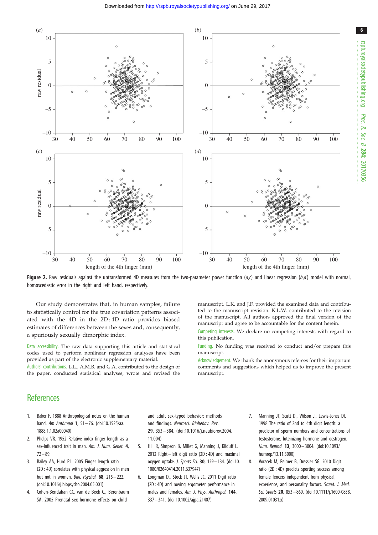<span id="page-5-0"></span>

Figure 2. Raw residuals against the untransformed 4D measures from the two-parameter power function  $(a, c)$  and linear regression  $(b, d)$  model with normal, homoscedastic error in the right and left hand, respectively.

Our study demonstrates that, in human samples, failure to statistically control for the true covariation patterns associated with the 4D in the 2D : 4D ratio provides biased estimates of differences between the sexes and, consequently, a spuriously sexually dimorphic index.

Data accessibility. The raw data supporting this article and statistical codes used to perform nonlinear regression analyses have been provided as part of the electronic supplementary material.

Authors' contributions. L.L., A.M.B. and G.A. contributed to the design of the paper, conducted statistical analyses, wrote and revised the manuscript. L.K. and J.F. provided the examined data and contributed to the manuscript revision. K.L.W. contributed to the revision of the manuscript. All authors approved the final version of the manuscript and agree to be accountable for the content herein.

Competing interests. We declare no competing interests with regard to this publication.

Funding. No funding was received to conduct and/or prepare this manuscript.

Acknowledgement. We thank the anonymous referees for their important comments and suggestions which helped us to improve the present manuscript.

## **References**

- 1. Baker F. 1888 Anthropological notes on the human hand. Am Anthropol 1, 51-76. [\(doi:10.1525/aa.](http://dx.doi.org/10.1525/aa.1888.1.1.02a00040) [1888.1.1.02a00040](http://dx.doi.org/10.1525/aa.1888.1.1.02a00040))
- 2. Phelps VR. 1952 Relative index finger length as a sex-influenced trait in man. Am. J. Hum. Genet. 4,  $72 - 89.$
- 3. Bailey AA, Hurd PL. 2005 Finger length ratio (2D : 4D) correlates with physical aggression in men but not in women. Biol. Psychol. 68, 215– 222. [\(doi:10.1016/j.biopsycho.2004.05.001\)](http://dx.doi.org/10.1016/j.biopsycho.2004.05.001)
- 4. Cohen-Bendahan CC, van de Beek C., Berenbaum SA. 2005 Prenatal sex hormone effects on child

and adult sex-typed behavior: methods and findings. Neurosci. Biobehav. Rev. 29, 353 – 384. [\(doi:10.1016/j.neubiorev.2004.](http://dx.doi.org/10.1016/j.neubiorev.2004.11.004) [11.004](http://dx.doi.org/10.1016/j.neubiorev.2004.11.004))

- 5. Hill R, Simpson B, Millet G, Manning J, Kilduff L. 2012 Right – left digit ratio (2D : 4D) and maximal oxygen uptake. J. Sports Sci. 30,  $129 - 134$ . [\(doi:10.](http://dx.doi.org/10.1080/02640414.2011.637947) [1080/02640414.2011.637947\)](http://dx.doi.org/10.1080/02640414.2011.637947)
- 6. Longman D., Stock JT, Wells JC. 2011 Digit ratio (2D : 4D) and rowing ergometer performance in males and females. Am. J. Phys. Anthropol. 144, 337 – 341. [\(doi:10.1002/ajpa.21407](http://dx.doi.org/10.1002/ajpa.21407))
- 7. Manning JT, Scutt D., Wilson J., Lewis-Jones DI. 1998 The ratio of 2nd to 4th digit length: a predictor of sperm numbers and concentrations of testosterone, luteinizing hormone and oestrogen. Hum. Reprod. 13, 3000 – 3004. ([doi:10.1093/](http://dx.doi.org/10.1093/humrep/13.11.3000) [humrep/13.11.3000\)](http://dx.doi.org/10.1093/humrep/13.11.3000)
- 8. Voracek M, Reimer B, Dressler SG. 2010 Digit ratio (2D : 4D) predicts sporting success among female fencers independent from physical, experience, and personality factors. Scand. J. Med. Sci. Sports 20, 853 - 860. ([doi:10.1111/j.1600-0838.](http://dx.doi.org/10.1111/j.1600-0838.2009.01031.x) [2009.01031.x](http://dx.doi.org/10.1111/j.1600-0838.2009.01031.x))